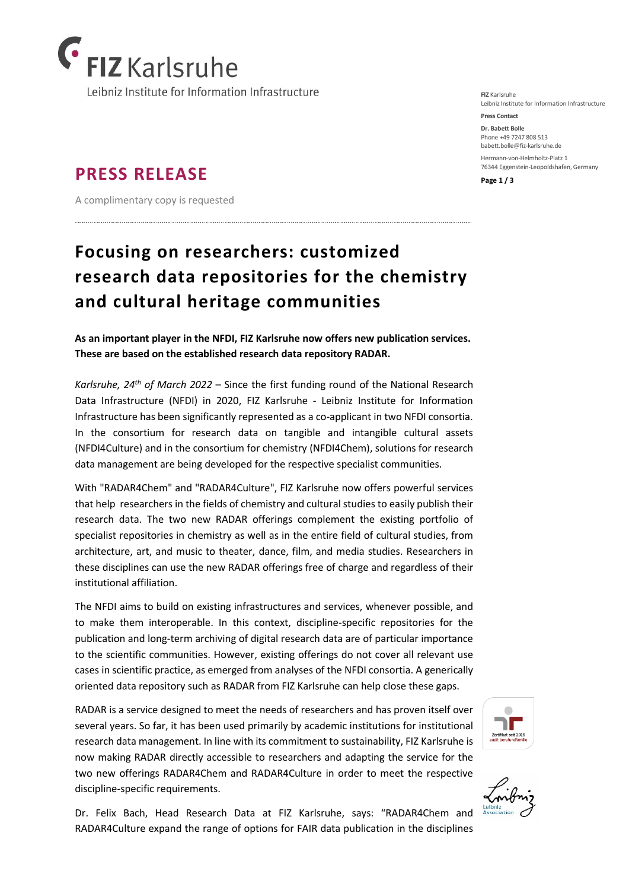

## **PRESS RELEASE**

A complimentary copy is requested

# **Focusing on researchers: customized research data repositories for the chemistry and cultural heritage communities**

**As an important player in the NFDI, FIZ Karlsruhe now offers new publication services. These are based on the established research data repository RADAR.**

*Karlsruhe, 24th of March 2022* – Since the first funding round of the National Research Data Infrastructure (NFDI) in 2020, FIZ Karlsruhe - Leibniz Institute for Information Infrastructure has been significantly represented as a co-applicant in two NFDI consortia. In the consortium for research data on tangible and intangible cultural assets (NFDI4Culture) and in the consortium for chemistry (NFDI4Chem), solutions for research data management are being developed for the respective specialist communities.

With "RADAR4Chem" and "RADAR4Culture", FIZ Karlsruhe now offers powerful services that help researchers in the fields of chemistry and cultural studies to easily publish their research data. The two new RADAR offerings complement the existing portfolio of specialist repositories in chemistry as well as in the entire field of cultural studies, from architecture, art, and music to theater, dance, film, and media studies. Researchers in these disciplines can use the new RADAR offerings free of charge and regardless of their institutional affiliation.

The NFDI aims to build on existing infrastructures and services, whenever possible, and to make them interoperable. In this context, discipline-specific repositories for the publication and long-term archiving of digital research data are of particular importance to the scientific communities. However, existing offerings do not cover all relevant use cases in scientific practice, as emerged from analyses of the NFDI consortia. A generically oriented data repository such as RADAR from FIZ Karlsruhe can help close these gaps.

RADAR is a service designed to meet the needs of researchers and has proven itself over several years. So far, it has been used primarily by academic institutions for institutional research data management. In line with its commitment to sustainability, FIZ Karlsruhe is now making RADAR directly accessible to researchers and adapting the service for the two new offerings RADAR4Chem and RADAR4Culture in order to meet the respective discipline-specific requirements.

Dr. Felix Bach, Head Research Data at FIZ Karlsruhe, says: "RADAR4Chem and RADAR4Culture expand the range of options for FAIR data publication in the disciplines

**FIZ** Karlsruhe Leibniz Institute for Information Infrastructure

**Press Contact Dr. Babett Bolle**  Phone +49 7247 808 513

[babett.bolle@fiz-karlsruhe.de](mailto:babett.bolle@fiz-karlsruhe.de) Hermann-von-Helmholtz-Platz 1 76344 Eggenstein-Leopoldshafen, Germany

**Page 1 / 3**



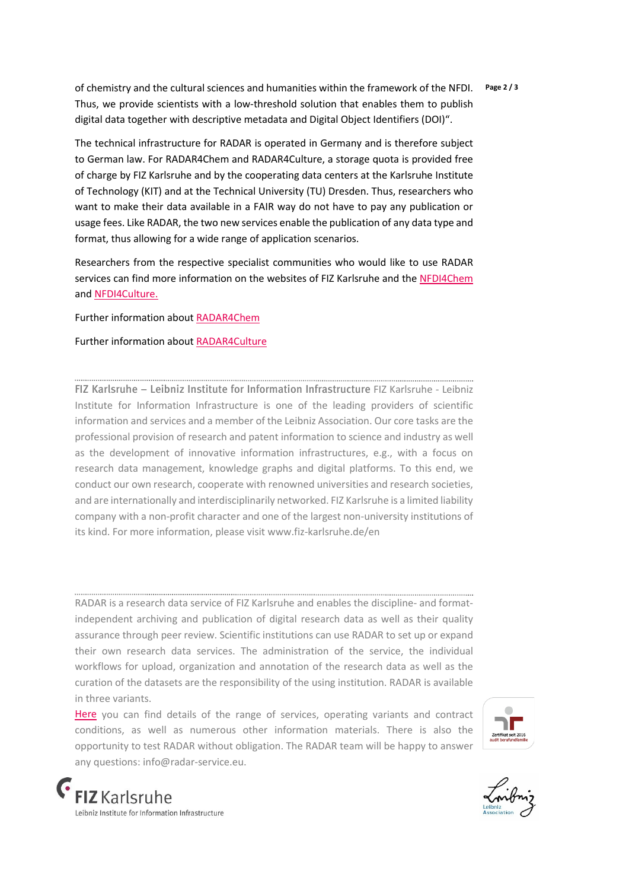of chemistry and the cultural sciences and humanities within the framework of the NFDI. **Page 2 / 3** Thus, we provide scientists with a low-threshold solution that enables them to publish digital data together with descriptive metadata and Digital Object Identifiers (DOI)".

The technical infrastructure for RADAR is operated in Germany and is therefore subject to German law. For RADAR4Chem and RADAR4Culture, a storage quota is provided free of charge by FIZ Karlsruhe and by the cooperating data centers at the Karlsruhe Institute of Technology (KIT) and at the Technical University (TU) Dresden. Thus, researchers who want to make their data available in a FAIR way do not have to pay any publication or usage fees. Like RADAR, the two new services enable the publication of any data type and format, thus allowing for a wide range of application scenarios.

Researchers from the respective specialist communities who would like to use RADAR services can find more information on the websites of FIZ Karlsruhe and the [NFDI4Chem](https://www.nfdi4chem.de/) an[d NFDI4Culture.](https://nfdi4culture.de/) 

Further information about [RADAR4Chem](https://radar.products.fiz-karlsruhe.de/en/radarabout/radar4chem)

#### Further information about [RADAR4Culture](https://radar.products.fiz-karlsruhe.de/en/radarabout/radar4culture)

FIZ Karlsruhe – Leibniz Institute for Information Infrastructure FIZ Karlsruhe - Leibniz Institute for Information Infrastructure is one of the leading providers of scientific information and services and a member of the Leibniz Association. Our core tasks are the professional provision of research and patent information to science and industry as well as the development of innovative information infrastructures, e.g., with a focus on research data management, knowledge graphs and digital platforms. To this end, we conduct our own research, cooperate with renowned universities and research societies, and are internationally and interdisciplinarily networked. FIZ Karlsruhe is a limited liability company with a non-profit character and one of the largest non-university institutions of its kind. For more information, please visit [www.fiz-karlsruhe.de/en](http://www.fiz-karlsruhe.de/en) 

RADAR is a research data service of FIZ Karlsruhe and enables the discipline- and formatindependent archiving and publication of digital research data as well as their quality assurance through peer review. Scientific institutions can use RADAR to set up or expand their own research data services. The administration of the service, the individual workflows for upload, organization and annotation of the research data as well as the curation of the datasets are the responsibility of the using institution. RADAR is available in three variants.

[Here](https://radar.products.fiz-karlsruhe.de/en) you can find details of the range of services, operating variants and contract conditions, as well as numerous other information materials. There is also the opportunity to test RADAR without obligation. The RADAR team will be happy to answer any questions: [info@radar-service.eu.](mailto:mailto:info@radar-service.eu?subject=mailto)





**FIZ** Karlsruhe eibniz Institute for Information Infrastructure